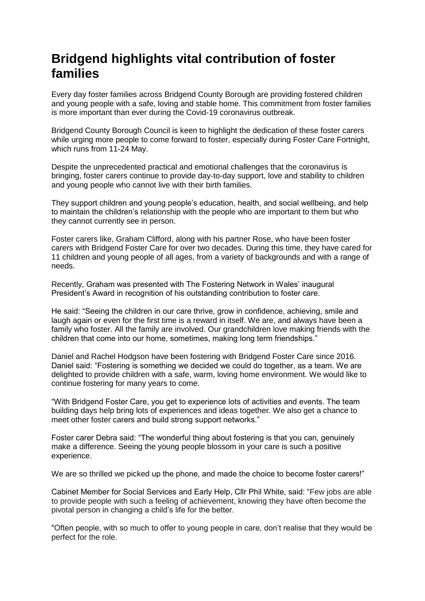## **Bridgend highlights vital contribution of foster families**

Every day foster families across Bridgend County Borough are providing fostered children and young people with a safe, loving and stable home. This commitment from foster families is more important than ever during the Covid-19 coronavirus outbreak.

Bridgend County Borough Council is keen to highlight the dedication of these foster carers while urging more people to come forward to foster, especially during Foster Care Fortnight, which runs from 11-24 May.

Despite the unprecedented practical and emotional challenges that the coronavirus is bringing, foster carers continue to provide day-to-day support, love and stability to children and young people who cannot live with their birth families.

They support children and young people's education, health, and social wellbeing, and help to maintain the children's relationship with the people who are important to them but who they cannot currently see in person.

Foster carers like, Graham Clifford, along with his partner Rose, who have been foster carers with Bridgend Foster Care for over two decades. During this time, they have cared for 11 children and young people of all ages, from a variety of backgrounds and with a range of needs.

Recently, Graham was presented with The Fostering Network in Wales' inaugural President's Award in recognition of his outstanding contribution to foster care.

He said: "Seeing the children in our care thrive, grow in confidence, achieving, smile and laugh again or even for the first time is a reward in itself. We are, and always have been a family who foster. All the family are involved. Our grandchildren love making friends with the children that come into our home, sometimes, making long term friendships."

Daniel and Rachel Hodgson have been fostering with Bridgend Foster Care since 2016. Daniel said: "Fostering is something we decided we could do together, as a team. We are delighted to provide children with a safe, warm, loving home environment. We would like to continue fostering for many years to come.

"With Bridgend Foster Care, you get to experience lots of activities and events. The team building days help bring lots of experiences and ideas together. We also get a chance to meet other foster carers and build strong support networks."

Foster carer Debra said: "The wonderful thing about fostering is that you can, genuinely make a difference. Seeing the young people blossom in your care is such a positive experience.

We are so thrilled we picked up the phone, and made the choice to become foster carers!"

Cabinet Member for Social Services and Early Help, Cllr Phil White, said: "Few jobs are able to provide people with such a feeling of achievement, knowing they have often become the pivotal person in changing a child's life for the better.

"Often people, with so much to offer to young people in care, don't realise that they would be perfect for the role.